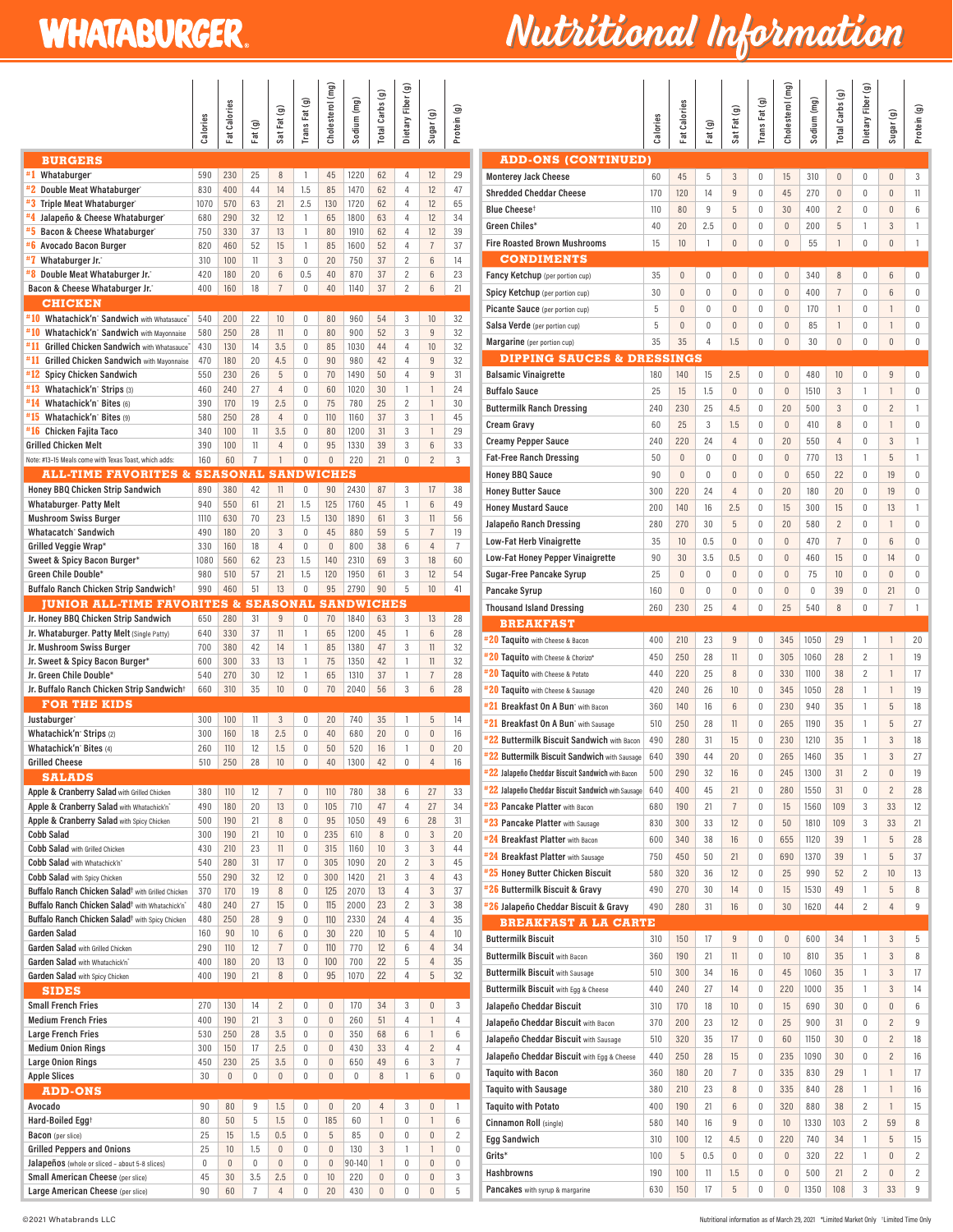## **WHATABURGER.**

## Nutritional Information

|                                                                                          | calories               | at Calories            | Fat(g)                  | Sat Fat (g)             | Trans Fat (g)                        | Cholesterol (mg)       | Sodium (mg)   | Total Carbs (g) | Dietary Fiber (g) | $S$ ugar $(g)$        | Protein (g)         |  |
|------------------------------------------------------------------------------------------|------------------------|------------------------|-------------------------|-------------------------|--------------------------------------|------------------------|---------------|-----------------|-------------------|-----------------------|---------------------|--|
| <b>BURGERS</b>                                                                           |                        |                        |                         |                         |                                      |                        |               |                 |                   |                       |                     |  |
| #1<br>Whataburger <sup>®</sup>                                                           | 590                    | 230                    | 25                      | 8                       | 1                                    | 45                     | 1220          | 62              | 4                 | 12                    | 29                  |  |
| #2 Double Meat Whataburger                                                               | 830                    | 400                    | 44                      | 14                      | 1.5                                  | 85                     | 1470          | 62              | 4                 | 12                    | 47                  |  |
| #3 Triple Meat Whataburger                                                               | 1070                   | 570                    | 63                      | 21                      | 2.5                                  | 130                    | 1720          | 62              | 4                 | 12                    | 65                  |  |
| #4 Jalapeño & Cheese Whataburger                                                         | 680                    | 290                    | 32                      | 12                      | 1                                    | 65                     | 1800          | 63              | 4                 | 12                    | 34                  |  |
| <b>#5</b> Bacon & Cheese Whataburger <sup>®</sup><br>#6 Avocado Bacon Burger             | 750<br>820             | 330<br>460             | 37<br>52                | 13<br>15                | 1<br>$\mathbf{1}$                    | 80<br>85               | 1910<br>1600  | 62<br>52        | 4<br>4            | 12<br>$\overline{7}$  | 39<br>37            |  |
| #7<br>Whataburger Jr. <sup>*</sup>                                                       | 310                    | 100                    | 11                      | 3                       | $\mathbf{0}$                         | 20                     | 750           | 37              | $\overline{c}$    | 6                     | 14                  |  |
| #8 Double Meat Whataburger Jr.                                                           | 420                    | 180                    | 20                      | $6\phantom{a}$          | 0.5                                  | 40                     | 870           | 37              | $\overline{c}$    | 6                     | 23                  |  |
| Bacon & Cheese Whataburger Jr."                                                          | 400                    | 160                    | 18                      | $\overline{7}$          | 0                                    | 40                     | 1140          | 37              | $\overline{c}$    | 6                     | 21                  |  |
| <b>CHICKEN</b>                                                                           |                        |                        |                         |                         |                                      |                        |               |                 |                   |                       |                     |  |
| #10 Whatachick'n' Sandwich with Whatasauce"                                              | 540                    | 200                    | 22                      | 10                      | $\mathbf{0}$                         | 80                     | 960           | 54              | 3                 | 10                    | 32                  |  |
| #10 Whatachick'n' Sandwich with Mayonnaise                                               | 580                    | 250                    | 28                      | 11                      | $\mathbf{0}$                         | 80                     | 900           | 52              | 3                 | 9                     | 32                  |  |
| #11 Grilled Chicken Sandwich with Whatasauce"                                            | 430                    | 130                    | 14                      | 3.5                     | 0                                    | 85                     | 1030          | 44              | 4                 | 10                    | 32                  |  |
| #11 Grilled Chicken Sandwich with Mayonnaise<br>#12 Spicy Chicken Sandwich               | 470<br>550             | 180<br>230             | 20<br>26                | 4.5<br>5                | 0<br>0                               | 90<br>70               | 980<br>1490   | 42<br>50        | 4<br>4            | 9<br>$\overline{9}$   | 32<br>31            |  |
| #13 Whatachick'n' Strips (3)                                                             | 460                    | 240                    | 27                      | 4                       | 0                                    | 60                     | 1020          | 30              | 1                 | $\mathbf{1}$          | 24                  |  |
| #14 Whatachick'n' Bites (6)                                                              | 390                    | 170                    | 19                      | 2.5                     | 0                                    | 75                     | 780           | 25              | $\overline{c}$    | $\mathbf{1}$          | 30                  |  |
| #15<br>Whatachick'n' Bites (9)                                                           | 580                    | 250                    | 28                      | $\overline{4}$          | $\overline{0}$                       | 110                    | 1160          | 37              | 3                 | 1                     | 45                  |  |
| #16 Chicken Fajita Taco                                                                  | 340                    | 100                    | 11                      | 3.5                     | $\overline{0}$                       | 80                     | 1200          | 31              | 3                 | $\mathbf{1}$          | 29                  |  |
| <b>Grilled Chicken Melt</b>                                                              | 390                    | 100                    | 11                      | 4                       | $\overline{0}$                       | 95                     | 1330          | 39              | 3                 | 6                     | 33                  |  |
| Note: #13-15 Meals come with Texas Toast, which adds:                                    | 160                    | 60                     | $\overline{7}$          | $\mathbf{1}$            | $\overline{0}$                       | $\overline{0}$         | 220           | 21              | $\overline{0}$    | $\overline{2}$        | 3                   |  |
| <b>ALL-TIME FAVORITES &amp; SEASONAL SANDWICHES</b>                                      |                        |                        |                         |                         |                                      |                        |               |                 |                   |                       |                     |  |
| Honey BBQ Chicken Strip Sandwich<br><b>Whataburger. Patty Melt</b>                       | 890<br>940             | 380<br>550             | 42<br>61                | 11<br>21                | $\overline{0}$<br>1.5                | 90<br>125              | 2430<br>1760  | 87<br>45        | 3<br>1            | 17<br>6               | 38<br>49            |  |
| <b>Mushroom Swiss Burger</b>                                                             | 1110                   | 630                    | 70                      | 23                      | 1.5                                  | 130                    | 1890          | 61              | 3                 | 11                    | 56                  |  |
| Whatacatch' Sandwich                                                                     | 490                    | 180                    | 20                      | 3                       | $\theta$                             | 45                     | 880           | 59              | 5                 | $\overline{7}$        | 19                  |  |
| Grilled Veggie Wrap*                                                                     | 330                    | 160                    | 18                      | $\overline{4}$          | $\mathbf{0}$                         | $\mathbf{0}$           | 800           | 38              | 6                 | $\overline{4}$        | $\overline{7}$      |  |
| Sweet & Spicy Bacon Burger*                                                              | 1080                   | 560                    | 62                      | 23                      | 1.5                                  | 140                    | 2310          | 69              | 3                 | 18                    | 60                  |  |
| Green Chile Double*                                                                      | 980                    | 510                    | 57                      | 21                      | 1.5                                  | 120                    | 1950          | 61              | 3                 | 12                    | 54                  |  |
| Buffalo Ranch Chicken Strip Sandwich <sup>+</sup>                                        | 990                    | 460                    | 51                      | 13                      | $\theta$                             | 95                     | 2790          | 90              | 5                 | 10                    | 41                  |  |
| <b>JUNIOR ALL-TIME FAVORITES &amp; SEASONAL SANDWICHES</b>                               |                        |                        |                         |                         |                                      |                        |               |                 |                   |                       |                     |  |
| Jr. Honey BBQ Chicken Strip Sandwich                                                     | 650                    | 280                    | 31                      | 9                       | $\overline{0}$                       | 70                     | 1840          | 63              | 3                 | 13                    | 28                  |  |
| Jr. Whataburger. Patty Melt (Single Patty)<br>Jr. Mushroom Swiss Burger                  | 640<br>700             | 330<br>380             | 37<br>42                | 11<br>14                | 1<br>1                               | 65<br>85               | 1200<br>1380  | 45<br>47        | 1<br>3            | 6<br>11               | 28<br>32            |  |
| Jr. Sweet & Spicy Bacon Burger*                                                          | 600                    | 300                    | 33                      | 13                      | 1                                    | 75                     | 1350          | 42              | $\mathbf{1}$      | 11                    | 32                  |  |
| Jr. Green Chile Double*                                                                  | 540                    | 270                    | 30                      | 12                      | $\mathbf{1}$                         | 65                     | 1310          | 37              | $\mathbf{1}$      | $\overline{7}$        | 28                  |  |
| Jr. Buffalo Ranch Chicken Strip Sandwich <sup>+</sup>                                    | 660                    | 310                    | 35                      | 10                      | 0                                    | 70                     | 2040          | 56              | 3                 | 6                     | 28                  |  |
| <b>FOR THE KIDS</b>                                                                      |                        |                        |                         |                         |                                      |                        |               |                 |                   |                       |                     |  |
| Justaburger <sup>*</sup>                                                                 | 300                    | 100                    | 11                      | 3                       | 0                                    | 20                     | 740           | 35              | 1                 | 5                     | 14                  |  |
| Whatachick'n' Strips (2)                                                                 | 300                    | 160                    | 18                      | 2.5                     | 0                                    | 40                     | 680           | 20              | 0                 |                       | 16                  |  |
| Whatachick'n' Bites (4)<br><b>Grilled Cheese</b>                                         | 260                    | 110                    | 12                      | 1.5                     | $\theta$                             | 50                     | 520           | 16              |                   | $\overline{0}$        |                     |  |
|                                                                                          |                        |                        |                         |                         |                                      |                        |               |                 | 1                 | $\overline{0}$        | 20                  |  |
|                                                                                          | 510                    | 250                    | 28                      | 10                      | $\theta$                             | 40                     | 1300          | 42              | $\overline{0}$    | $\overline{4}$        | 16                  |  |
| <b>SALADS</b>                                                                            |                        |                        |                         |                         |                                      |                        |               |                 |                   |                       |                     |  |
| Apple & Cranberry Salad with Grilled Chicken                                             | 380                    | 110                    | 12                      | $\overline{7}$          | $\mathbf{0}$                         | 110                    | 780           | 38              | 6                 | 27                    | 33                  |  |
| Apple & Cranberry Salad with Whatachick'n"<br>Apple & Cranberry Salad with Spicy Chicken | 490<br>500             | 180<br>190             | 20<br>21                | 13<br>8                 | $\mathbf{0}$<br>0                    | 105<br>95              | 710<br>1050   | 47<br>49        | 4<br>6            | 27<br>28              | 34<br>31            |  |
| <b>Cobb Salad</b>                                                                        | 300                    | 190                    | 21                      | 10                      | 0                                    | 235                    | 610           | 8               | $\overline{0}$    | 3                     | 20                  |  |
| <b>Cobb Salad</b> with Grilled Chicken                                                   | 430                    | 210                    | 23                      | 11                      | 0                                    | 315                    | 1160          | 10              | 3                 | 3                     | 44                  |  |
| Cobb Salad with Whatachick'n"                                                            | 540                    | 280                    | 31                      | 17                      | 0                                    | 305                    | 1090          | 20              | $\overline{c}$    | 3                     | 45                  |  |
| Cobb Salad with Spicy Chicken                                                            | 550                    | 290                    | 32                      | 12                      | 0                                    | 300                    | 1420          | 21              | 3                 | $\overline{4}$        | 43                  |  |
| Buffalo Ranch Chicken Salad <sup>†</sup> with Grilled Chicken                            | 370                    | 170                    | 19                      | 8                       | $\mathbf{0}$                         | 125                    | 2070          | 13              | 4                 | 3                     | 37                  |  |
| Buffalo Ranch Chicken Salad <sup>†</sup> with Whatachick'n <sup>*</sup>                  | 480                    | 240                    | 27                      | 15                      | $\mathbf{0}$                         | 115                    | 2000          | 23              | $\overline{c}$    | 3                     | 38                  |  |
| Buffalo Ranch Chicken Salad <sup>†</sup> with Spicy Chicken<br><b>Garden Salad</b>       | 480<br>160             | 250<br>90              | 28<br>10                | 9<br>6                  | $\boldsymbol{0}$<br>0                | 110<br>30              | 2330<br>220   | 24<br>10        | 4<br>5            | 4<br>4                | 35<br>10            |  |
| Garden Salad with Grilled Chicken                                                        | 290                    | 110                    | 12                      | $\overline{7}$          | $\boldsymbol{0}$                     | 110                    | 770           | 12              | 6                 | 4                     | 34                  |  |
| Garden Salad with Whatachick'n"                                                          | 400                    | 180                    | 20                      | 13                      | 0                                    | 100                    | 700           | 22              | 5                 | $\overline{4}$        | 35                  |  |
| Garden Salad with Spicy Chicken                                                          | 400                    | 190                    | 21                      | $\, 8$                  | $\boldsymbol{0}$                     | 95                     | 1070          | 22              | 4                 | 5                     | 32                  |  |
| <b>SIDES</b>                                                                             |                        |                        |                         |                         |                                      |                        |               |                 |                   |                       |                     |  |
| <b>Small French Fries</b>                                                                | 270                    | 130                    | 14                      | $\overline{2}$          | 0                                    | $\boldsymbol{0}$       | 170           | 34              | 3                 | $\boldsymbol{0}$      | 3                   |  |
| <b>Medium French Fries</b>                                                               | 400                    | 190                    | 21                      | 3                       | $\boldsymbol{0}$                     | $\boldsymbol{0}$       | 260           | 51              | 4                 | 1                     | 4                   |  |
| <b>Large French Fries</b>                                                                | 530                    | 250                    | 28                      | 3.5                     | 0                                    | 0                      | 350           | 68              | 6                 | 1                     | 6                   |  |
| <b>Medium Onion Rings</b><br><b>Large Onion Rings</b>                                    | 300<br>450             | 150<br>230             | 17<br>25                | 2.5<br>3.5              | $\boldsymbol{0}$<br>$\boldsymbol{0}$ | $\boldsymbol{0}$<br>0  | 430<br>650    | 33<br>49        | 4<br>6            | $\overline{2}$<br>3   | 4<br>$\overline{I}$ |  |
| <b>Apple Slices</b>                                                                      | 30                     | $\boldsymbol{0}$       | 0                       | $\boldsymbol{0}$        | 0                                    | $\boldsymbol{0}$       | 0             | 8               | 1                 | 6                     | $\boldsymbol{0}$    |  |
| <b>ADD-ONS</b>                                                                           |                        |                        |                         |                         |                                      |                        |               |                 |                   |                       |                     |  |
| Avocado                                                                                  | 90                     | 80                     | 9                       | 1.5                     | $\mathbf 0$                          | $\mathbf{0}$           | 20            | 4               | 3                 | $\mathbf{0}$          | 1                   |  |
| Hard-Boiled Egg <sup>+</sup>                                                             | 80                     | 50                     | 5                       | 1.5                     | $\boldsymbol{0}$                     | 185                    | 60            | 1               | 0                 | 1                     | 6                   |  |
| Bacon (per slice)                                                                        | 25                     | 15                     | 1.5                     | 0.5                     | 0                                    | 5                      | 85            | $\pmb{0}$       | 0                 | $\mathbf{0}$          | $\overline{c}$      |  |
| <b>Grilled Peppers and Onions</b>                                                        | 25                     | 10                     | 1.5                     | $\boldsymbol{0}$        | 0                                    | $\boldsymbol{0}$       | 130           | 3               | 1                 | 1                     | $\overline{0}$      |  |
| Jalapeños (whole or sliced - about 5-8 slices)<br>Small American Cheese (per slice)      | $\boldsymbol{0}$<br>45 | $\boldsymbol{0}$<br>30 | $\boldsymbol{0}$<br>3.5 | $\boldsymbol{0}$<br>2.5 | $\boldsymbol{0}$<br>0                | $\boldsymbol{0}$<br>10 | 90-140<br>220 | 1<br>$\pmb{0}$  | 0<br>0            | $\boldsymbol{0}$<br>0 | $\pmb{0}$<br>3      |  |

|                                                                                     | Calories   | Fat Calories             | Fat(g)              | Sat Fat (g)                      | ම<br>Trans Fat                 | Cholesterol (mg)           | Sodium (mg)    | Total Carbs (g)     | Dietary Fiber (g)   | Sugar (g)                         | Protein (g)    |
|-------------------------------------------------------------------------------------|------------|--------------------------|---------------------|----------------------------------|--------------------------------|----------------------------|----------------|---------------------|---------------------|-----------------------------------|----------------|
| <b>ADD-ONS (CONTINUED)</b>                                                          |            |                          |                     |                                  |                                |                            |                |                     |                     |                                   |                |
| <b>Monterey Jack Cheese</b>                                                         | 60         | 45                       | 5                   | 3                                | $\mathbf 0$                    | 15                         | 310            | $\mathbf{0}$        | 0                   | $\mathbf{0}$                      | 3              |
| <b>Shredded Cheddar Cheese</b>                                                      | 170        | 120                      | 14                  | $\overline{9}$                   | $\mathbf{0}$                   | 45                         | 270            | $\overline{0}$      | 0                   | $\mathbf{0}$                      | 11             |
| Blue Cheese <sup>t</sup>                                                            | 110        | 80                       | 9                   | 5                                | $\mathbf 0$                    | 30                         | 400            | $\overline{c}$      | 0                   | $\overline{0}$                    | 6              |
| Green Chiles*                                                                       | 40         | 20                       | 2.5                 | $\overline{0}$                   | $\mathbf 0$                    | $\mathbf{0}$               | 200            | 5                   | 1                   | 3                                 | 1              |
| <b>Fire Roasted Brown Mushrooms</b>                                                 | 15         | 10                       | 1                   | $\overline{0}$                   | 0                              | $\mathbf{0}$               | 55             | 1                   | 0                   | $\overline{0}$                    | 1              |
| <b>CONDIMENTS</b>                                                                   |            |                          |                     |                                  |                                |                            |                |                     |                     |                                   |                |
| Fancy Ketchup (per portion cup)                                                     | 35<br>30   | $\theta$<br>$\mathbf{0}$ | $\overline{0}$<br>0 | $\overline{0}$<br>$\overline{0}$ | $\overline{0}$<br>$\mathbf{0}$ | $\Omega$<br>$\overline{0}$ | 340<br>400     | 8<br>$\overline{7}$ | 0<br>0              | $6\phantom{1}$<br>$6\phantom{.}6$ | 0<br>0         |
| Spicy Ketchup (per portion cup)<br>Picante Sauce (per portion cup)                  | 5          | $\Omega$                 | $\Omega$            | $\overline{0}$                   | $\theta$                       | $\overline{0}$             | 170            | $\mathbf{1}$        | 0                   | 1                                 | 0              |
| Salsa Verde (per portion cup)                                                       | 5          | $\overline{0}$           | 0                   | $\overline{0}$                   | 0                              | $\overline{0}$             | 85             | $\mathbf{1}$        | 0                   | 1                                 | 0              |
| Margarine (per portion cup)                                                         | 35         | 35                       | 4                   | 1.5                              | 0                              | $\mathbf{0}$               | 30             | $\overline{0}$      | 0                   | $\overline{0}$                    | $\overline{0}$ |
| <b>DIPPING SAUCES &amp; DRESSINGS</b>                                               |            |                          |                     |                                  |                                |                            |                |                     |                     |                                   |                |
| <b>Balsamic Vinaigrette</b>                                                         | 180        | 140                      | 15                  | 2.5                              | $\theta$                       | $\overline{0}$             | 480            | 10                  | 0                   | 9                                 | 0              |
| <b>Buffalo Sauce</b>                                                                | 25         | 15                       | 1.5                 | $\overline{0}$                   | $\mathbf{0}$                   | $\overline{0}$             | 1510           | 3                   | 1                   | $\mathbf{1}$                      | $\overline{0}$ |
| <b>Buttermilk Ranch Dressing</b>                                                    | 240        | 230                      | 25                  | 4.5                              | $\mathbf 0$                    | 20                         | 500            | 3                   | 0                   | $\overline{2}$                    | 1              |
| <b>Cream Gravy</b>                                                                  | 60         | 25                       | 3                   | 1.5                              | $\overline{0}$                 | $\mathbf{0}$               | 410            | 8                   | 0                   | $\mathbf{1}$                      | $\overline{0}$ |
| <b>Creamy Pepper Sauce</b>                                                          | 240        | 220                      | 24                  | 4                                | $\overline{0}$                 | 20                         | 550            | 4                   | 0                   | 3                                 | 1              |
| <b>Fat-Free Ranch Dressing</b>                                                      | 50         | $\mathbf{0}$             | 0                   | $\overline{0}$                   | $\overline{0}$                 | $\mathbf{0}$               | 770            | 13                  | 1                   | 5                                 | 1              |
| <b>Honey BBQ Sauce</b>                                                              | 90<br>300  | $\overline{0}$<br>220    | 0<br>24             | $\overline{0}$<br>4              | $\overline{0}$<br>$\theta$     | $\overline{0}$<br>20       | 650<br>180     | 22<br>20            | 0<br>0              | 19<br>19                          | 0<br>0         |
| <b>Honey Butter Sauce</b><br><b>Honey Mustard Sauce</b>                             | 200        | 140                      | 16                  | 2.5                              | $\overline{0}$                 | 15                         | 300            | 15                  | 0                   | 13                                | 1              |
| Jalapeño Ranch Dressing                                                             | 280        | 270                      | 30                  | 5                                | $\overline{0}$                 | 20                         | 580            | $\overline{2}$      | 0                   | $\mathbf{1}$                      | 0              |
| <b>Low-Fat Herb Vinaigrette</b>                                                     | 35         | 10                       | 0.5                 | $\overline{0}$                   | $\overline{0}$                 | $\overline{0}$             | 470            | $\overline{7}$      | 0                   | 6                                 | 0              |
| <b>Low-Fat Honey Pepper Vinaigrette</b>                                             | 90         | 30                       | 3.5                 | 0.5                              | $\overline{0}$                 | $\overline{0}$             | 460            | 15                  | 0                   | 14                                | 0              |
| Sugar-Free Pancake Syrup                                                            | 25         | $\mathbf{0}$             | $\mathbf 0$         | $\overline{0}$                   | $\overline{0}$                 | $\Omega$                   | 75             | 10                  | 0                   | $\mathbf{0}$                      | 0              |
| Pancake Syrup                                                                       | 160        | $\overline{0}$           | 0                   | $\overline{0}$                   | $\overline{0}$                 | $\overline{0}$             | $\overline{0}$ | 39                  | 0                   | 21                                | $\overline{0}$ |
| <b>Thousand Island Dressing</b>                                                     | 260        | 230                      | 25                  | 4                                | $\overline{0}$                 | 25                         | 540            | 8                   | 0                   | $\overline{7}$                    | 1              |
| <b>BREAKFAST</b>                                                                    |            |                          |                     |                                  |                                |                            |                |                     |                     |                                   |                |
| #20 Taquito with Cheese & Bacon                                                     | 400        | 210                      | 23                  | 9                                | $\mathbf 0$                    | 345                        | 1050           | 29                  | 1                   | 1                                 | 20             |
| #20 Taquito with Cheese & Chorizo*                                                  | 450        | 250                      | 28                  | 11                               | 0                              | 305                        | 1060           | 28                  | $\overline{2}$      | 1                                 | 19             |
| #20 Taquito with Cheese & Potato                                                    | 440        | 220                      | 25                  | 8                                | 0                              | 330                        | 1100           | 38                  | $\overline{2}$      | $\mathbf{1}$                      | 17             |
| #20 Taquito with Cheese & Sausage<br>#21 Breakfast On A Bun <sup>*</sup> with Bacon | 420<br>360 | 240<br>140               | 26<br>16            | 10<br>6                          | 0<br>$\mathbf 0$               | 345<br>230                 | 1050<br>940    | 28<br>35            | 1<br>1              | $\mathbf{1}$<br>5                 | 19<br>18       |
| #21 Breakfast On A Bun <sup>*</sup> with Sausage                                    | 510        | 250                      | 28                  | 11                               | $\mathbf 0$                    | 265                        | 1190           | 35                  | 1                   | 5                                 | 27             |
| #22 Buttermilk Biscuit Sandwich with Bacon                                          | 490        | 280                      | 31                  | 15                               | $\mathbf 0$                    | 230                        | 1210           | 35                  | 1                   | 3                                 | 18             |
| #22 Buttermilk Biscuit Sandwich with Sausage                                        | 640        | 390                      | 44                  | 20                               | 0                              | 265                        | 1460           | 35                  | 1                   | 3                                 | 27             |
| <sup>#22</sup> Jalapeño Cheddar Biscuit Sandwich with Bacon                         | 500        | 290                      | 32                  | 16                               | $\theta$                       | 245                        | 1300           | 31                  | $\overline{c}$      | $\overline{0}$                    | 19             |
| <sup>#22</sup> Jalapeño Cheddar Biscuit Sandwich with Sausage                       | 640        | 400                      | 45                  | 21                               | 0                              | 280                        | 1550           | 31                  | 0                   | $\overline{2}$                    | 28             |
| #23 Pancake Platter with Bacon                                                      | 680        | 190                      | 21                  | $\overline{7}$                   | $\boldsymbol{0}$               | 15                         | 1560           | 109                 | 3                   | 33                                | 12             |
| #23 Pancake Platter with Sausage                                                    | 830        | 300                      | 33                  | 12                               | $\boldsymbol{0}$               | 50                         | 1810           | 109                 | 3                   | 33                                | 21             |
| #24 Breakfast Platter with Bacon                                                    | 600        | 340                      | 38                  | 16                               | $\boldsymbol{0}$               | 655                        | 1120           | 39                  | 1                   | 5                                 | 28             |
| #24 Breakfast Platter with Sausage                                                  | 750        | 450                      | 50                  | 21                               | $\boldsymbol{0}$               | 690                        | 1370           | 39                  | 1                   | 5                                 | 37             |
| #25 Honey Butter Chicken Biscuit                                                    | 580        | 320                      | 36                  | 12                               | $\mathbf 0$                    | 25                         | 990            | 52                  | $\overline{c}$      | 10                                | 13             |
| #26 Buttermilk Biscuit & Gravy<br>#26 Jalapeño Cheddar Biscuit & Gravy              | 490<br>490 | 270<br>280               | 30<br>31            | 14<br>16                         | $\pmb{0}$<br>0                 | 15<br>30                   | 1530<br>1620   | 49<br>44            | 1<br>$\overline{c}$ | 5<br>$\overline{4}$               | 8<br>9         |
| <b>BREAKFAST A LA CARTE</b>                                                         |            |                          |                     |                                  |                                |                            |                |                     |                     |                                   |                |
| <b>Buttermilk Biscuit</b>                                                           | 310        | 150                      | 17                  | $\overline{9}$                   | $\boldsymbol{0}$               | $\mathbf{0}$               | 600            | 34                  | 1                   | 3                                 | 5              |
| <b>Buttermilk Biscuit with Bacon</b>                                                | 360        | 190                      | 21                  | 11                               | $\boldsymbol{0}$               | 10                         | 810            | 35                  | 1                   | 3                                 | 8              |
| <b>Buttermilk Biscuit with Sausage</b>                                              | 510        | 300                      | 34                  | 16                               | $\boldsymbol{0}$               | 45                         | 1060           | 35                  | 1                   | 3                                 | 17             |
| Buttermilk Biscuit with Egg & Cheese                                                | 440        | 240                      | 27                  | 14                               | $\boldsymbol{0}$               | 220                        | 1000           | 35                  | 1                   | 3                                 | 14             |
| Jalapeño Cheddar Biscuit                                                            | 310        | 170                      | 18                  | 10                               | $\boldsymbol{0}$               | 15                         | 690            | 30                  | 0                   | $\boldsymbol{0}$                  | 6              |
| Jalapeño Cheddar Biscuit with Bacon                                                 | 370        | 200                      | 23                  | 12                               | $\boldsymbol{0}$               | 25                         | 900            | 31                  | 0                   | $\overline{c}$                    | 9              |
| Jalapeño Cheddar Biscuit with Sausage                                               | 510        | 320                      | 35                  | 17                               | $\boldsymbol{0}$               | 60                         | 1150           | 30                  | 0                   | $\overline{2}$                    | 18             |
| Jalapeño Cheddar Biscuit with Egg & Cheese                                          | 440        | 250                      | 28                  | 15                               | $\boldsymbol{0}$               | 235                        | 1090           | 30                  | 0                   | $\overline{2}$                    | 16             |
| <b>Taquito with Bacon</b>                                                           | 360        | 180                      | 20                  | $\overline{7}$                   | $\boldsymbol{0}$               | 335                        | 830            | 29                  | 1                   | $\mathbf{1}$                      | 17             |
| <b>Taquito with Sausage</b>                                                         | 380        | 210                      | 23                  | 8                                | 0                              | 335                        | 840            | 28                  | 1                   | $\mathbf{1}$                      | 16             |
| <b>Taquito with Potato</b><br>Cinnamon Roll (single)                                | 400<br>580 | 190<br>140               | 21<br>16            | $6\,$<br>9                       | 0<br>$\boldsymbol{0}$          | 320<br>10 <sup>°</sup>     | 880<br>1330    | 38<br>103           | $\overline{c}$<br>2 | $\mathbf{1}$<br>59                | 15<br>8        |
| <b>Egg Sandwich</b>                                                                 | 310        | 100                      | 12                  | 4.5                              | $\boldsymbol{0}$               | 220                        | 740            | 34                  | 1                   | 5                                 | 15             |
| Grits*                                                                              | 100        | 5                        | 0.5                 | $\pmb{0}$                        | $\boldsymbol{0}$               | $\boldsymbol{0}$           | 320            | 22                  | 1                   | $\boldsymbol{0}$                  | 2              |
| Hashbrowns                                                                          | 190        | 100                      | 11                  | 1.5                              | 0                              | $\boldsymbol{0}$           | 500            | 21                  | 2                   | $\boldsymbol{0}$                  | $\overline{2}$ |
| Pancakes with syrup & margarine                                                     | 630        | 150                      | 17                  | 5                                | $\pmb{0}$                      | $\boldsymbol{0}$           | 1350           | 108                 | 3                   | 33                                | 9              |